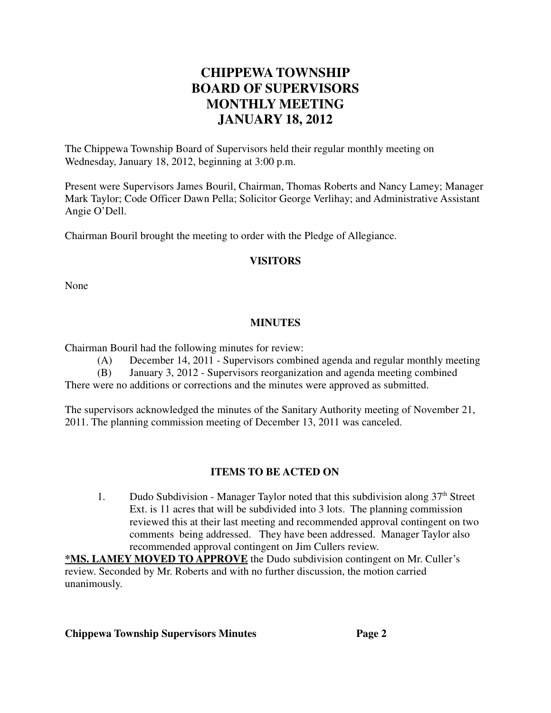# **CHIPPEWA TOWNSHIP BOARD OF SUPERVISORS MONTHLY MEETING JANUARY 18, 2012**

The Chippewa Township Board of Supervisors held their regular monthly meeting on Wednesday, January 18, 2012, beginning at 3:00 p.m.

Present were Supervisors James Bouril, Chairman, Thomas Roberts and Nancy Lamey; Manager Mark Taylor; Code Officer Dawn Pella; Solicitor George Verlihay; and Administrative Assistant Angie O'Dell.

Chairman Bouril brought the meeting to order with the Pledge of Allegiance.

#### **VISITORS**

None

#### **MINUTES**

Chairman Bouril had the following minutes for review:

(A) December 14, 2011 - Supervisors combined agenda and regular monthly meeting

(B) January 3, 2012 - Supervisors reorganization and agenda meeting combined There were no additions or corrections and the minutes were approved as submitted.

The supervisors acknowledged the minutes of the Sanitary Authority meeting of November 21, 2011. The planning commission meeting of December 13, 2011 was canceled.

## **ITEMS TO BE ACTED ON**

1. Dudo Subdivision - Manager Taylor noted that this subdivision along  $37<sup>th</sup>$  Street Ext. is 11 acres that will be subdivided into 3 lots. The planning commission reviewed this at their last meeting and recommended approval contingent on two comments being addressed. They have been addressed. Manager Taylor also recommended approval contingent on Jim Cullers review.

**\*MS. LAMEY MOVED TO APPROVE** the Dudo subdivision contingent on Mr. Culler's review. Seconded by Mr. Roberts and with no further discussion, the motion carried unanimously.

#### **Chippewa Township Supervisors Minutes Page 2**